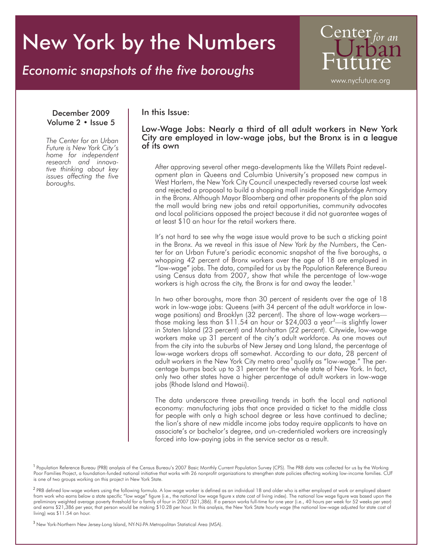# New York by the Numbers

## *Economic snapshots of the five boroughs*

Center www.nycfuture.org

#### December 2009 Volume 2 • Issue 5

*The Center for an Urban Future is New York City's home for independent tive thinking about key issues affecting the five boroughs.*

#### In this Issue:

Low-Wage Jobs: Nearly a third of all adult workers in New York City are employed in low-wage jobs, but the Bronx is in a league of its own

After approving several other mega-developments like the Willets Point redevelopment plan in Queens and Columbia University's proposed new campus in West Harlem, the New York City Council unexpectedly reversed course last week and rejected a proposal to build a shopping mall inside the Kingsbridge Armory in the Bronx. Although Mayor Bloomberg and other proponents of the plan said the mall would bring new jobs and retail opportunities, community advocates and local politicians opposed the project because it did not guarantee wages of at least \$10 an hour for the retail workers there.

It's not hard to see why the wage issue would prove to be such a sticking point in the Bronx. As we reveal in this issue of *New York by the Numbers*, the Center for an Urban Future's periodic economic snapshot of the five boroughs, a whopping 42 percent of Bronx workers over the age of 18 are employed in "low-wage" jobs. The data, compiled for us by the Population Reference Bureau using Census data from 2007, show that while the percentage of low-wage workers is high across the city, the Bronx is far and away the leader. 1

In two other boroughs, more than 30 percent of residents over the age of 18 work in low-wage jobs: Queens (with 34 percent of the adult workforce in lowwage positions) and Brooklyn (32 percent). The share of low-wage workers those making less than \$11.54 an hour or \$24,003 a year<sup>2</sup>—is slightly lower in Staten Island (23 percent) and Manhattan (22 percent). Citywide, low-wage workers make up 31 percent of the city's adult workforce. As one moves out from the city into the suburbs of New Jersey and Long Island, the percentage of low-wage workers drops off somewhat. According to our data, 28 percent of adult workers in the New York City metro area<sup>3</sup> qualify as "low-wage." The percentage bumps back up to 31 percent for the whole state of New York. In fact, only two other states have a higher percentage of adult workers in low-wage jobs (Rhode Island and Hawaii).

The data underscore three prevailing trends in both the local and national economy: manufacturing jobs that once provided a ticket to the middle class for people with only a high school degree or less have continued to decline; the lion's share of new middle income jobs today require applicants to have an associate's or bachelor's degree, and un-credentialed workers are increasingly forced into low-paying jobs in the service sector as a result.

<sup>1</sup> Population Reference Bureau (PRB) analysis of the Census Bureau's 2007 Basic Monthly Current Population Survey (CPS). The PRB data was collected for us by the Working Poor Families Project, a foundation-funded national initiative that works with 26 nonprofit organizations to strengthen state policies affecting working low-income families. CUF is one of two groups working on this project in New York State.

<sup>2</sup> PRB defined low-wage workers using the following formula. A low-wage worker is defined as an individual 18 and older who is either employed at work or employed absent from work who earns below a state specific "low wage" figure (i.e., the national low wage figure x state cost of living index). The national low wage figure was based upon the preliminary weighted average poverty threshold for a family of four in 2007 (\$21,386). If a person works full-time for one year (i.e., 40 hours per week for 52 weeks per year) and earns \$21,386 per year, that person would be making \$10.28 per hour. In this analysis, the New York State hourly wage (the national low-wage adjusted for state cost of living) was \$11.54 an hour.

<sup>3</sup> New York-Northern New Jersey-Long Island, NY-NJ-PA Metropolitan Statistical Area (MSA).